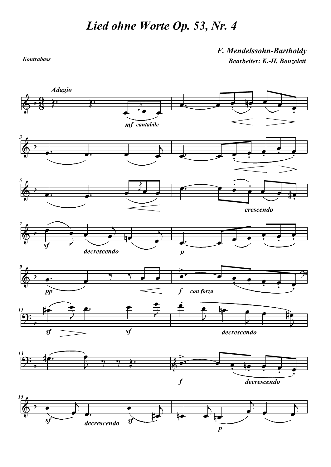Kontrabass

F. Mendelssohn-Bartholdy Bearbeiter: K.-H. Bonzelett